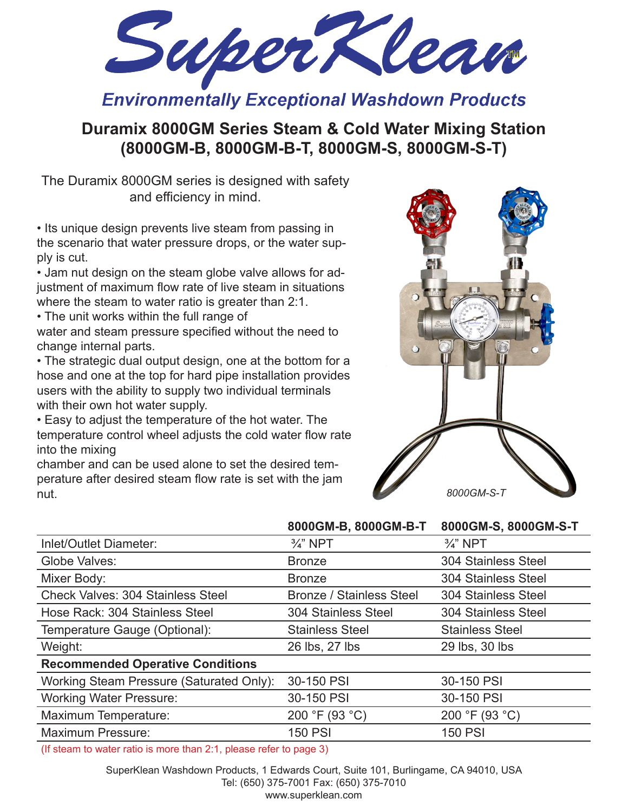SuperKlean

**Environmentally Exceptional Washdown Products** 

# **Duramix 8000GM Series Steam & Cold Water Mixing Station (8000GM-B, 8000GM-B-T, 8000GM-S, 8000GM-S-T)**

The Duramix 8000GM series is designed with safety and efficiency in mind.

• Its unique design prevents live steam from passing in the scenario that water pressure drops, or the water supply is cut.

• Jam nut design on the steam globe valve allows for adjustment of maximum flow rate of live steam in situations where the steam to water ratio is greater than 2:1.

• The unit works within the full range of

water and steam pressure specified without the need to change internal parts.

• The strategic dual output design, one at the bottom for a hose and one at the top for hard pipe installation provides users with the ability to supply two individual terminals with their own hot water supply.

• Easy to adjust the temperature of the hot water. The temperature control wheel adjusts the cold water flow rate into the mixing

chamber and can be used alone to set the desired temperature after desired steam flow rate is set with the jam nut.



|                                                                                                                                                                                                                                                                                                                                                                                                                                                                                 | 8000GM-B, 8000GM-B-T            | 8000GM-S, 8000GM-S-T       |
|---------------------------------------------------------------------------------------------------------------------------------------------------------------------------------------------------------------------------------------------------------------------------------------------------------------------------------------------------------------------------------------------------------------------------------------------------------------------------------|---------------------------------|----------------------------|
| Inlet/Outlet Diameter:                                                                                                                                                                                                                                                                                                                                                                                                                                                          | $\frac{3}{4}$ " NPT             | $\frac{3}{4}$ " NPT        |
| Globe Valves:                                                                                                                                                                                                                                                                                                                                                                                                                                                                   | <b>Bronze</b>                   | 304 Stainless Steel        |
| Mixer Body:                                                                                                                                                                                                                                                                                                                                                                                                                                                                     | <b>Bronze</b>                   | 304 Stainless Steel        |
| <b>Check Valves: 304 Stainless Steel</b>                                                                                                                                                                                                                                                                                                                                                                                                                                        | <b>Bronze / Stainless Steel</b> | <b>304 Stainless Steel</b> |
| Hose Rack: 304 Stainless Steel                                                                                                                                                                                                                                                                                                                                                                                                                                                  | <b>304 Stainless Steel</b>      | <b>304 Stainless Steel</b> |
| Temperature Gauge (Optional):                                                                                                                                                                                                                                                                                                                                                                                                                                                   | <b>Stainless Steel</b>          | <b>Stainless Steel</b>     |
| Weight:                                                                                                                                                                                                                                                                                                                                                                                                                                                                         | 26 lbs, 27 lbs                  | 29 lbs, 30 lbs             |
| <b>Recommended Operative Conditions</b>                                                                                                                                                                                                                                                                                                                                                                                                                                         |                                 |                            |
| Working Steam Pressure (Saturated Only):                                                                                                                                                                                                                                                                                                                                                                                                                                        | 30-150 PSI                      | 30-150 PSI                 |
| <b>Working Water Pressure:</b>                                                                                                                                                                                                                                                                                                                                                                                                                                                  | 30-150 PSI                      | 30-150 PSI                 |
| Maximum Temperature:                                                                                                                                                                                                                                                                                                                                                                                                                                                            | 200 °F (93 °C)                  | 200 °F (93 °C)             |
| Maximum Pressure:                                                                                                                                                                                                                                                                                                                                                                                                                                                               | <b>150 PSI</b>                  | <b>150 PSI</b>             |
| $(\text{If } \text{a} \text{ to } \text{a} \text{ to } \text{b} \text{ to } \text{b} \text{ to } \text{b} \text{ to } \text{b} \text{ to } \text{b} \text{ to } \text{b} \text{ to } \text{b} \text{ to } \text{b} \text{ to } \text{b} \text{ to } \text{b} \text{ to } \text{b} \text{ to } \text{b} \text{ to } \text{b} \text{ to } \text{b} \text{ to } \text{b} \text{ to } \text{b} \text{ to } \text{b} \text{ to } \text{b} \text{ to } \text{b} \text{ to } \text{b}$ |                                 |                            |

(If steam to water ratio is more than 2:1, please refer to page 3)

SuperKlean Washdown Products, 1 Edwards Court, Suite 101, Burlingame, CA 94010, USA Tel: (650) 375-7001 Fax: (650) 375-7010 www.superklean.com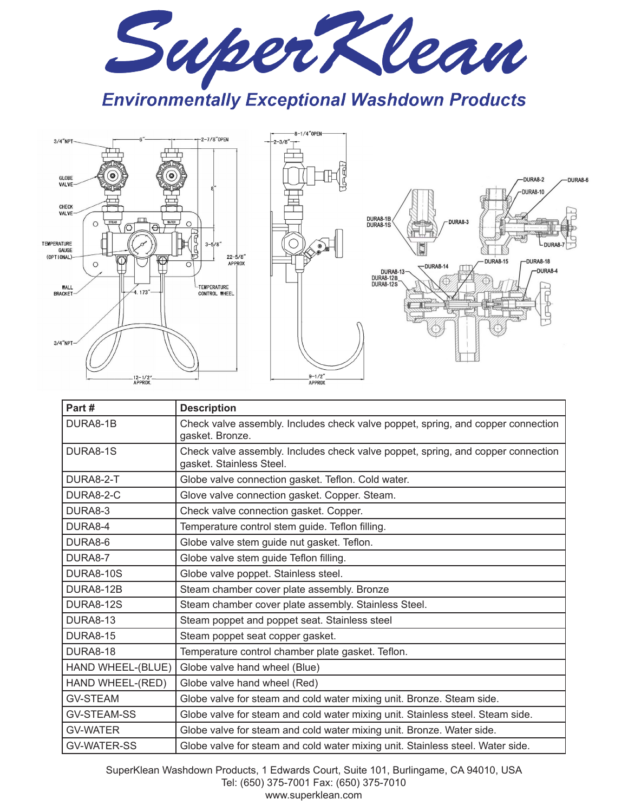

**Environmentally Exceptional Washdown Products** 



| Part#              | <b>Description</b>                                                                                           |
|--------------------|--------------------------------------------------------------------------------------------------------------|
| DURA8-1B           | Check valve assembly. Includes check valve poppet, spring, and copper connection<br>gasket. Bronze.          |
| DURA8-1S           | Check valve assembly. Includes check valve poppet, spring, and copper connection<br>gasket. Stainless Steel. |
| DURA8-2-T          | Globe valve connection gasket. Teflon. Cold water.                                                           |
| DURA8-2-C          | Glove valve connection gasket. Copper. Steam.                                                                |
| DURA8-3            | Check valve connection gasket. Copper.                                                                       |
| DURA8-4            | Temperature control stem guide. Teflon filling.                                                              |
| DURA8-6            | Globe valve stem guide nut gasket. Teflon.                                                                   |
| DURA8-7            | Globe valve stem guide Teflon filling.                                                                       |
| <b>DURA8-10S</b>   | Globe valve poppet. Stainless steel.                                                                         |
| DURA8-12B          | Steam chamber cover plate assembly. Bronze                                                                   |
| <b>DURA8-12S</b>   | Steam chamber cover plate assembly. Stainless Steel.                                                         |
| <b>DURA8-13</b>    | Steam poppet and poppet seat. Stainless steel                                                                |
| <b>DURA8-15</b>    | Steam poppet seat copper gasket.                                                                             |
| <b>DURA8-18</b>    | Temperature control chamber plate gasket. Teflon.                                                            |
| HAND WHEEL-(BLUE)  | Globe valve hand wheel (Blue)                                                                                |
| HAND WHEEL-(RED)   | Globe valve hand wheel (Red)                                                                                 |
| <b>GV-STEAM</b>    | Globe valve for steam and cold water mixing unit. Bronze. Steam side.                                        |
| <b>GV-STEAM-SS</b> | Globe valve for steam and cold water mixing unit. Stainless steel. Steam side.                               |
| <b>GV-WATER</b>    | Globe valve for steam and cold water mixing unit. Bronze. Water side.                                        |
| <b>GV-WATER-SS</b> | Globe valve for steam and cold water mixing unit. Stainless steel. Water side.                               |

SuperKlean Washdown Products, 1 Edwards Court, Suite 101, Burlingame, CA 94010, USA Tel: (650) 375-7001 Fax: (650) 375-7010 www.superklean.com